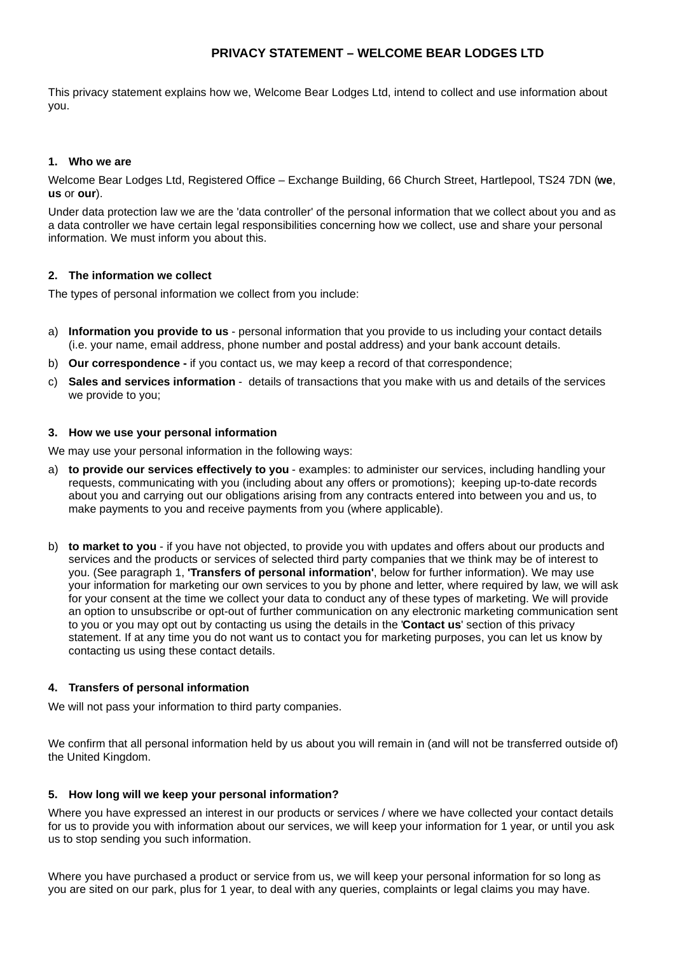# **PRIVACY STATEMENT – WELCOME BEAR LODGES LTD**

This privacy statement explains how we, Welcome Bear Lodges Ltd, intend to collect and use information about you.

### **1. Who we are**

Welcome Bear Lodges Ltd, Registered Office – Exchange Building, 66 Church Street, Hartlepool, TS24 7DN (**we**, **us** or **our**).

Under data protection law we are the 'data controller' of the personal information that we collect about you and as a data controller we have certain legal responsibilities concerning how we collect, use and share your personal information. We must inform you about this.

### **2. The information we collect**

The types of personal information we collect from you include:

- a) **Information you provide to us** personal information that you provide to us including your contact details (i.e. your name, email address, phone number and postal address) and your bank account details.
- b) **Our correspondence** if you contact us, we may keep a record of that correspondence;
- c) **Sales and services information** details of transactions that you make with us and details of the services we provide to you;

#### **3. How we use your personal information**

We may use your personal information in the following ways:

- a) **to provide our services effectively to you** examples: to administer our services, including handling your requests, communicating with you (including about any offers or promotions); keeping up-to-date records about you and carrying out our obligations arising from any contracts entered into between you and us, to make payments to you and receive payments from you (where applicable).
- b) **to market to you** if you have not objected, to provide you with updates and offers about our products and services and the products or services of selected third party companies that we think may be of interest to you. (See paragraph 1, **'Transfers of personal information'**, below for further information). We may use your information for marketing our own services to you by phone and letter, where required by law, we will ask for your consent at the time we collect your data to conduct any of these types of marketing. We will provide an option to unsubscribe or opt-out of further communication on any electronic marketing communication sent to you or you may opt out by contacting us using the details in the '**Contact us**' section of this privacy statement. If at any time you do not want us to contact you for marketing purposes, you can let us know by contacting us using these contact details.

#### **4. Transfers of personal information**

We will not pass your information to third party companies.

We confirm that all personal information held by us about you will remain in (and will not be transferred outside of) the United Kingdom.

#### **5. How long will we keep your personal information?**

Where you have expressed an interest in our products or services / where we have collected your contact details for us to provide you with information about our services, we will keep your information for 1 year, or until you ask us to stop sending you such information.

Where you have purchased a product or service from us, we will keep your personal information for so long as you are sited on our park, plus for 1 year, to deal with any queries, complaints or legal claims you may have.